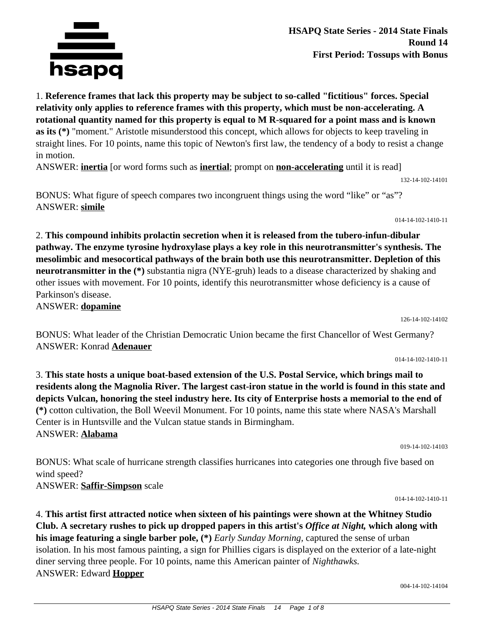

**HSAPQ State Series - 2014 State Finals Round 14 First Period: Tossups with Bonus**

1. **Reference frames that lack this property may be subject to so-called "fictitious" forces. Special relativity only applies to reference frames with this property, which must be non-accelerating. A rotational quantity named for this property is equal to M R-squared for a point mass and is known as its (\*)** "moment." Aristotle misunderstood this concept, which allows for objects to keep traveling in straight lines. For 10 points, name this topic of Newton's first law, the tendency of a body to resist a change in motion.

ANSWER: **inertia** [or word forms such as **inertial**; prompt on **non-accelerating** until it is read]

BONUS: What figure of speech compares two incongruent things using the word "like" or "as"? ANSWER: **simile**

2. **This compound inhibits prolactin secretion when it is released from the tubero-infun-dibular pathway. The enzyme tyrosine hydroxylase plays a key role in this neurotransmitter's synthesis. The mesolimbic and mesocortical pathways of the brain both use this neurotransmitter. Depletion of this neurotransmitter in the (\*)** substantia nigra (NYE-gruh) leads to a disease characterized by shaking and other issues with movement. For 10 points, identify this neurotransmitter whose deficiency is a cause of Parkinson's disease.

ANSWER: **dopamine**

wind speed?

ANSWER: **Saffir-Simpson** scale

126-14-102-14102

132-14-102-14101

014-14-102-1410-11

BONUS: What leader of the Christian Democratic Union became the first Chancellor of West Germany? ANSWER: Konrad **Adenauer**

014-14-102-1410-11

3. **This state hosts a unique boat-based extension of the U.S. Postal Service, which brings mail to residents along the Magnolia River. The largest cast-iron statue in the world is found in this state and depicts Vulcan, honoring the steel industry here. Its city of Enterprise hosts a memorial to the end of (\*)** cotton cultivation, the Boll Weevil Monument. For 10 points, name this state where NASA's Marshall Center is in Huntsville and the Vulcan statue stands in Birmingham. ANSWER: **Alabama**

BONUS: What scale of hurricane strength classifies hurricanes into categories one through five based on

019-14-102-14103

014-14-102-1410-11

4. **This artist first attracted notice when sixteen of his paintings were shown at the Whitney Studio Club. A secretary rushes to pick up dropped papers in this artist's** *Office at Night,* **which along with his image featuring a single barber pole, (\*)** *Early Sunday Morning,* captured the sense of urban isolation. In his most famous painting, a sign for Phillies cigars is displayed on the exterior of a late-night diner serving three people. For 10 points, name this American painter of *Nighthawks.* ANSWER: Edward **Hopper**

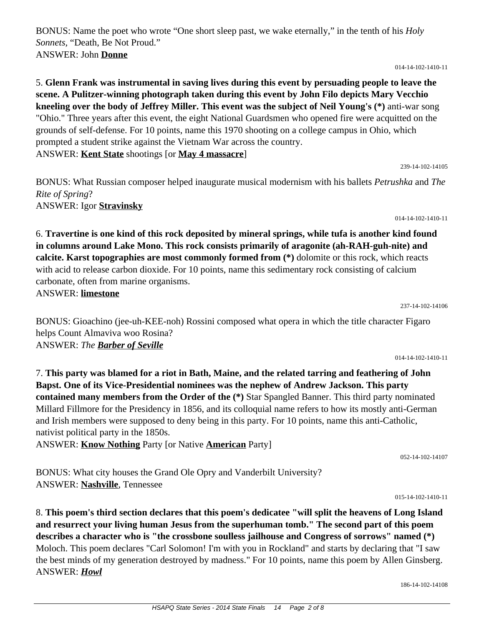BONUS: Name the poet who wrote "One short sleep past, we wake eternally," in the tenth of his *Holy Sonnets,* "Death, Be Not Proud." ANSWER: John **Donne**

014-14-102-1410-11

### 5. **Glenn Frank was instrumental in saving lives during this event by persuading people to leave the scene. A Pulitzer-winning photograph taken during this event by John Filo depicts Mary Vecchio kneeling over the body of Jeffrey Miller. This event was the subject of Neil Young's (\*)** anti-war song "Ohio." Three years after this event, the eight National Guardsmen who opened fire were acquitted on the grounds of self-defense. For 10 points, name this 1970 shooting on a college campus in Ohio, which prompted a student strike against the Vietnam War across the country. ANSWER: **Kent State** shootings [or **May 4 massacre**]

239-14-102-14105

BONUS: What Russian composer helped inaugurate musical modernism with his ballets *Petrushka* and *The Rite of Spring*? ANSWER: Igor **Stravinsky**

014-14-102-1410-11

6. **Travertine is one kind of this rock deposited by mineral springs, while tufa is another kind found in columns around Lake Mono. This rock consists primarily of aragonite (ah-RAH-guh-nite) and calcite. Karst topographies are most commonly formed from (\*)** dolomite or this rock, which reacts with acid to release carbon dioxide. For 10 points, name this sedimentary rock consisting of calcium carbonate, often from marine organisms.

ANSWER: **limestone**

BONUS: Gioachino (jee-uh-KEE-noh) Rossini composed what opera in which the title character Figaro helps Count Almaviva woo Rosina? ANSWER: *The Barber of Seville*

014-14-102-1410-11

052-14-102-14107

015-14-102-1410-11

237-14-102-14106

7. **This party was blamed for a riot in Bath, Maine, and the related tarring and feathering of John Bapst. One of its Vice-Presidential nominees was the nephew of Andrew Jackson. This party contained many members from the Order of the (\*)** Star Spangled Banner. This third party nominated Millard Fillmore for the Presidency in 1856, and its colloquial name refers to how its mostly anti-German and Irish members were supposed to deny being in this party. For 10 points, name this anti-Catholic, nativist political party in the 1850s.

ANSWER: **Know Nothing** Party [or Native **American** Party]

BONUS: What city houses the Grand Ole Opry and Vanderbilt University? ANSWER: **Nashville**, Tennessee

8. **This poem's third section declares that this poem's dedicatee "will split the heavens of Long Island and resurrect your living human Jesus from the superhuman tomb." The second part of this poem describes a character who is "the crossbone soulless jailhouse and Congress of sorrows" named (\*)** Moloch. This poem declares "Carl Solomon! I'm with you in Rockland" and starts by declaring that "I saw the best minds of my generation destroyed by madness." For 10 points, name this poem by Allen Ginsberg. ANSWER: *Howl*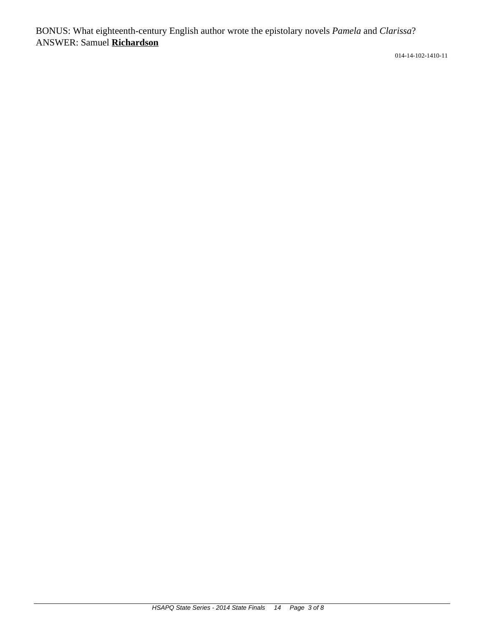BONUS: What eighteenth-century English author wrote the epistolary novels *Pamela* and *Clarissa*? ANSWER: Samuel **Richardson**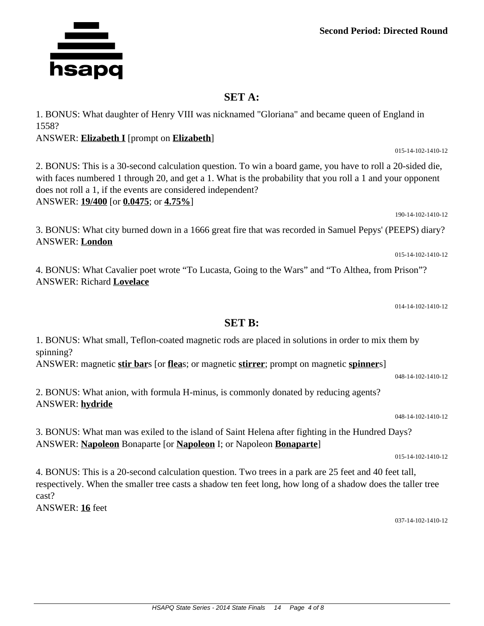**Second Period: Directed Round**

### **SET A:**

1. BONUS: What daughter of Henry VIII was nicknamed "Gloriana" and became queen of England in 1558?

#### ANSWER: **Elizabeth I** [prompt on **Elizabeth**]

2. BONUS: This is a 30-second calculation question. To win a board game, you have to roll a 20-sided die, with faces numbered 1 through 20, and get a 1. What is the probability that you roll a 1 and your opponent does not roll a 1, if the events are considered independent? ANSWER: **19/400** [or **0.0475**; or **4.75%**]

3. BONUS: What city burned down in a 1666 great fire that was recorded in Samuel Pepys' (PEEPS) diary? ANSWER: **London**

4. BONUS: What Cavalier poet wrote "To Lucasta, Going to the Wars" and "To Althea, from Prison"? ANSWER: Richard **Lovelace**

014-14-102-1410-12

048-14-102-1410-12

### **SET B:**

1. BONUS: What small, Teflon-coated magnetic rods are placed in solutions in order to mix them by spinning?

ANSWER: magnetic **stir bar**s [or **flea**s; or magnetic **stirrer**; prompt on magnetic **spinner**s]

2. BONUS: What anion, with formula H-minus, is commonly donated by reducing agents? ANSWER: **hydride**

048-14-102-1410-12

3. BONUS: What man was exiled to the island of Saint Helena after fighting in the Hundred Days? ANSWER: **Napoleon** Bonaparte [or **Napoleon** I; or Napoleon **Bonaparte**]

4. BONUS: This is a 20-second calculation question. Two trees in a park are 25 feet and 40 feet tall, respectively. When the smaller tree casts a shadow ten feet long, how long of a shadow does the taller tree cast?

ANSWER: **16** feet

037-14-102-1410-12

015-14-102-1410-12



015-14-102-1410-12

190-14-102-1410-12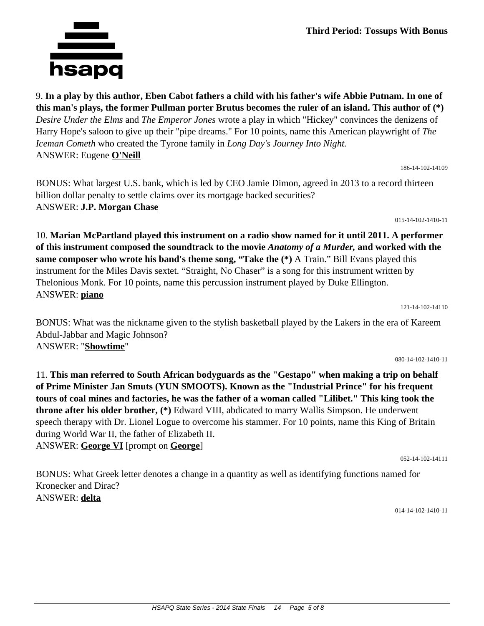9. **In a play by this author, Eben Cabot fathers a child with his father's wife Abbie Putnam. In one of this man's plays, the former Pullman porter Brutus becomes the ruler of an island. This author of (\*)** *Desire Under the Elms* and *The Emperor Jones* wrote a play in which "Hickey" convinces the denizens of Harry Hope's saloon to give up their "pipe dreams." For 10 points, name this American playwright of *The Iceman Cometh* who created the Tyrone family in *Long Day's Journey Into Night.* ANSWER: Eugene **O'Neill** 186-14-102-14109

BONUS: What largest U.S. bank, which is led by CEO Jamie Dimon, agreed in 2013 to a record thirteen billion dollar penalty to settle claims over its mortgage backed securities? ANSWER: **J.P. Morgan Chase**

10. **Marian McPartland played this instrument on a radio show named for it until 2011. A performer of this instrument composed the soundtrack to the movie** *Anatomy of a Murder,* **and worked with the same composer who wrote his band's theme song, "Take the (\*)** A Train." Bill Evans played this instrument for the Miles Davis sextet. "Straight, No Chaser" is a song for this instrument written by Thelonious Monk. For 10 points, name this percussion instrument played by Duke Ellington. ANSWER: **piano**

BONUS: What was the nickname given to the stylish basketball played by the Lakers in the era of Kareem Abdul-Jabbar and Magic Johnson? ANSWER: "**Showtime**"

11. **This man referred to South African bodyguards as the "Gestapo" when making a trip on behalf of Prime Minister Jan Smuts (YUN SMOOTS). Known as the "Industrial Prince" for his frequent tours of coal mines and factories, he was the father of a woman called "Lilibet." This king took the throne after his older brother, (\*)** Edward VIII, abdicated to marry Wallis Simpson. He underwent speech therapy with Dr. Lionel Logue to overcome his stammer. For 10 points, name this King of Britain during World War II, the father of Elizabeth II. ANSWER: **George VI** [prompt on **George**]

BONUS: What Greek letter denotes a change in a quantity as well as identifying functions named for Kronecker and Dirac? ANSWER: **delta**

014-14-102-1410-11

052-14-102-14111

# hsapq



015-14-102-1410-11

080-14-102-1410-11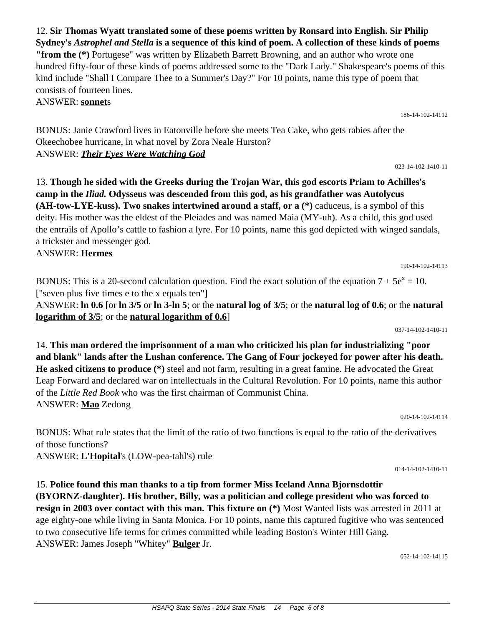12. **Sir Thomas Wyatt translated some of these poems written by Ronsard into English. Sir Philip Sydney's** *Astrophel and Stella* **is a sequence of this kind of poem. A collection of these kinds of poems "from the (\*)** Portugese" was written by Elizabeth Barrett Browning, and an author who wrote one hundred fifty-four of these kinds of poems addressed some to the "Dark Lady." Shakespeare's poems of this kind include "Shall I Compare Thee to a Summer's Day?" For 10 points, name this type of poem that consists of fourteen lines.

ANSWER: **sonnet**s

BONUS: Janie Crawford lives in Eatonville before she meets Tea Cake, who gets rabies after the Okeechobee hurricane, in what novel by Zora Neale Hurston? ANSWER: *Their Eyes Were Watching God*

13. **Though he sided with the Greeks during the Trojan War, this god escorts Priam to Achilles's camp in the** *Iliad.* **Odysseus was descended from this god, as his grandfather was Autolycus (AH-tow-LYE-kuss). Two snakes intertwined around a staff, or a (\*)** caduceus, is a symbol of this deity. His mother was the eldest of the Pleiades and was named Maia (MY-uh). As a child, this god used the entrails of Apollo's cattle to fashion a lyre. For 10 points, name this god depicted with winged sandals, a trickster and messenger god.

ANSWER: **Hermes**

BONUS: This is a 20-second calculation question. Find the exact solution of the equation  $7 + 5e^{x} = 10$ . ["seven plus five times e to the x equals ten"] ANSWER: **ln 0.6** [or **ln 3/5** or **ln 3-ln 5**; or the **natural log of 3/5**; or the **natural log of 0.6**; or the **natural logarithm of 3/5**; or the **natural logarithm of 0.6**] 037-14-102-1410-11

14. **This man ordered the imprisonment of a man who criticized his plan for industrializing "poor and blank" lands after the Lushan conference. The Gang of Four jockeyed for power after his death. He asked citizens to produce (\*)** steel and not farm, resulting in a great famine. He advocated the Great Leap Forward and declared war on intellectuals in the Cultural Revolution. For 10 points, name this author of the *Little Red Book* who was the first chairman of Communist China. ANSWER: **Mao** Zedong

BONUS: What rule states that the limit of the ratio of two functions is equal to the ratio of the derivatives of those functions?

ANSWER: **L'Hopital**'s (LOW-pea-tahl's) rule

15. **Police found this man thanks to a tip from former Miss Iceland Anna Bjornsdottir (BYORNZ-daughter). His brother, Billy, was a politician and college president who was forced to resign in 2003 over contact with this man. This fixture on (\*)** Most Wanted lists was arrested in 2011 at age eighty-one while living in Santa Monica. For 10 points, name this captured fugitive who was sentenced to two consecutive life terms for crimes committed while leading Boston's Winter Hill Gang. ANSWER: James Joseph "Whitey" **Bulger** Jr.

052-14-102-14115

014-14-102-1410-11

020-14-102-14114

023-14-102-1410-11

190-14-102-14113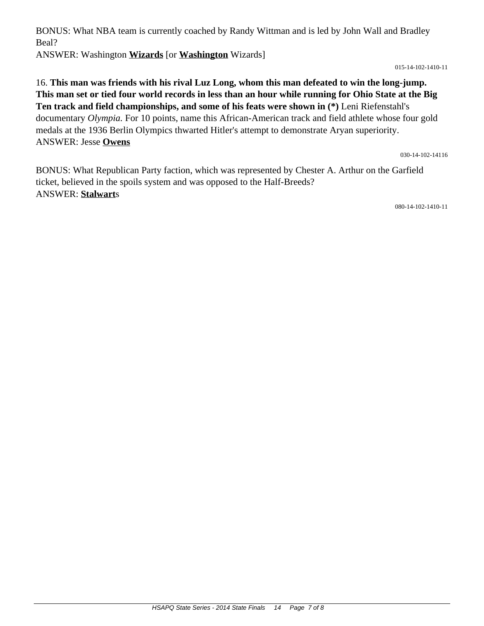BONUS: What NBA team is currently coached by Randy Wittman and is led by John Wall and Bradley Beal?

ANSWER: Washington **Wizards** [or **Washington** Wizards]

015-14-102-1410-11

16. **This man was friends with his rival Luz Long, whom this man defeated to win the long-jump. This man set or tied four world records in less than an hour while running for Ohio State at the Big Ten track and field championships, and some of his feats were shown in (\*)** Leni Riefenstahl's documentary *Olympia.* For 10 points, name this African-American track and field athlete whose four gold medals at the 1936 Berlin Olympics thwarted Hitler's attempt to demonstrate Aryan superiority. ANSWER: Jesse **Owens**

030-14-102-14116

BONUS: What Republican Party faction, which was represented by Chester A. Arthur on the Garfield ticket, believed in the spoils system and was opposed to the Half-Breeds? ANSWER: **Stalwart**s